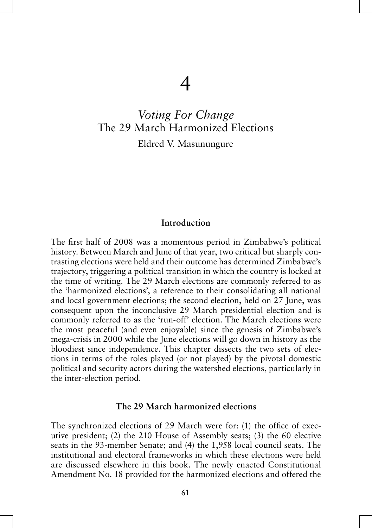# *Voting For Change*  The 29 March Harmonized Elections

Eldred V. Masunungure

## **Introduction**

The first half of 2008 was a momentous period in Zimbabwe's political history. Between March and June of that year, two critical but sharply contrasting elections were held and their outcome has determined Zimbabwe's trajectory, triggering a political transition in which the country is locked at the time of writing. The 29 March elections are commonly referred to as the 'harmonized elections', a reference to their consolidating all national and local government elections; the second election, held on 27 June, was consequent upon the inconclusive 29 March presidential election and is commonly referred to as the 'run-off' election. The March elections were the most peaceful (and even enjoyable) since the genesis of Zimbabwe's mega-crisis in 2000 while the June elections will go down in history as the bloodiest since independence. This chapter dissects the two sets of elections in terms of the roles played (or not played) by the pivotal domestic political and security actors during the watershed elections, particularly in the inter-election period.

#### **The 29 March harmonized elections**

The synchronized elections of 29 March were for: (1) the office of executive president; (2) the 210 House of Assembly seats; (3) the 60 elective seats in the 93-member Senate; and (4) the 1,958 local council seats. The institutional and electoral frameworks in which these elections were held are discussed elsewhere in this book. The newly enacted Constitutional Amendment No. 18 provided for the harmonized elections and offered the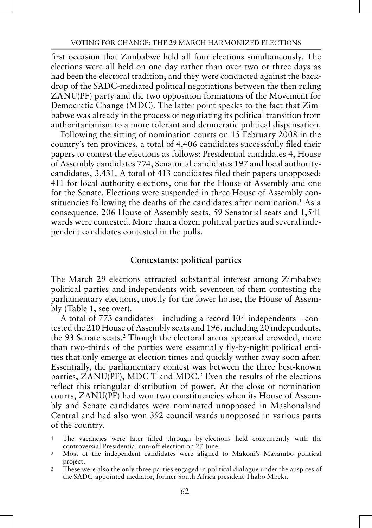first occasion that Zimbabwe held all four elections simultaneously. The elections were all held on one day rather than over two or three days as had been the electoral tradition, and they were conducted against the backdrop of the SADC-mediated political negotiations between the then ruling ZANU(PF) party and the two opposition formations of the Movement for Democratic Change (MDC). The latter point speaks to the fact that Zimbabwe was already in the process of negotiating its political transition from authoritarianism to a more tolerant and democratic political dispensation.

Following the sitting of nomination courts on 15 February 2008 in the country's ten provinces, a total of 4,406 candidates successfully filed their papers to contest the elections as follows: Presidential candidates 4, House of Assembly candidates 774, Senatorial candidates 197 and local authoritycandidates, 3,431. A total of 413 candidates filed their papers unopposed: 411 for local authority elections, one for the House of Assembly and one for the Senate. Elections were suspended in three House of Assembly constituencies following the deaths of the candidates after nomination.1 As a consequence, 206 House of Assembly seats, 59 Senatorial seats and 1,541 wards were contested. More than a dozen political parties and several independent candidates contested in the polls.

#### **Contestants: political parties**

The March 29 elections attracted substantial interest among Zimbabwe political parties and independents with seventeen of them contesting the parliamentary elections, mostly for the lower house, the House of Assembly (Table 1, see over).

A total of 773 candidates – including a record 104 independents – contested the 210 House of Assembly seats and 196, including 20 independents, the 93 Senate seats.<sup>2</sup> Though the electoral arena appeared crowded, more than two-thirds of the parties were essentially fly-by-night political entities that only emerge at election times and quickly wither away soon after. Essentially, the parliamentary contest was between the three best-known parties, ZANU(PF), MDC-T and MDC.<sup>3</sup> Even the results of the elections reflect this triangular distribution of power. At the close of nomination courts, ZANU(PF) had won two constituencies when its House of Assembly and Senate candidates were nominated unopposed in Mashonaland Central and had also won 392 council wards unopposed in various parts of the country.

- 1 The vacancies were later filled through by-elections held concurrently with the controversial Presidential run-off election on 27 June.
- 2 Most of the independent candidates were aligned to Makoni's Mavambo political project.
- 3 These were also the only three parties engaged in political dialogue under the auspices of the SADC-appointed mediator, former South Africa president Thabo Mbeki.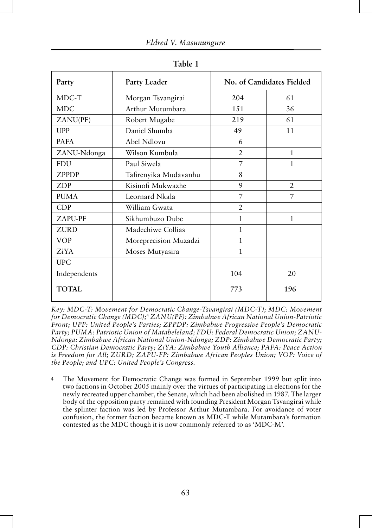| Party        | Party Leader          |                | No. of Candidates Fielded |
|--------------|-----------------------|----------------|---------------------------|
| MDC-T        | Morgan Tsvangirai     | 204            | 61                        |
| <b>MDC</b>   | Arthur Mutumbara      | 1.51           | 36                        |
| ZANU(PF)     | Robert Mugabe         | 219            | 61                        |
| UPP          | Daniel Shumba         | 49             | 11                        |
| <b>PAFA</b>  | Abel Ndlovu           | 6              |                           |
| ZANU-Ndonga  | Wilson Kumbula        | $\overline{2}$ | 1                         |
| <b>FDU</b>   | Paul Siwela           | 7              | 1                         |
| <b>ZPPDP</b> | Tafirenyika Mudavanhu | 8              |                           |
| <b>ZDP</b>   | Kisinofi Mukwazhe     | 9              | $\overline{2}$            |
| <b>PUMA</b>  | Leornard Nkala        | 7              | 7                         |
| CDP          | William Gwata         | $\overline{2}$ |                           |
| ZAPU-PF      | Sikhumbuzo Dube       | 1              | 1                         |
| <b>ZURD</b>  | Madechiwe Collias     | 1              |                           |
| <b>VOP</b>   | Moreprecision Muzadzi | 1              |                           |
| ZiYA         | Moses Mutyasira       | 1              |                           |
| <b>UPC</b>   |                       |                |                           |
| Independents |                       | 104            | 20                        |
| <b>TOTAL</b> |                       | 773            | 196                       |

**Table 1**

*Key: MDC-T: Movement for Democratic Change-Tsvangirai (MDC-T); MDC: Movement for Democratic Change (MDC);*<sup>4</sup>  *ZANU(PF): Zimbabwe African National Union-Patriotic Front; UPP: United People's Parties; ZPPDP: Zimbabwe Progressive People's Democratic Party; PUMA: Patriotic Union of Matabeleland; FDU: Federal Democratic Union; ZANU-Ndonga: Zimbabwe African National Union-Ndonga; ZDP: Zimbabwe Democratic Party; CDP: Christian Democratic Party; ZiYA: Zimbabwe Youth Alliance; PAFA: Peace Action is Freedom for All; ZURD; ZAPU-FP: Zimbabwe African Peoples Union; VOP: Voice of the People; and UPC: United People's Congress.*

4 The Movement for Democratic Change was formed in September 1999 but split into two factions in October 2005 mainly over the virtues of participating in elections for the newly recreated upper chamber, the Senate, which had been abolished in 1987. The larger body of the opposition party remained with founding President Morgan Tsvangirai while the splinter faction was led by Professor Arthur Mutambara. For avoidance of voter confusion, the former faction became known as MDC-T while Mutambara's formation contested as the MDC though it is now commonly referred to as 'MDC-M'.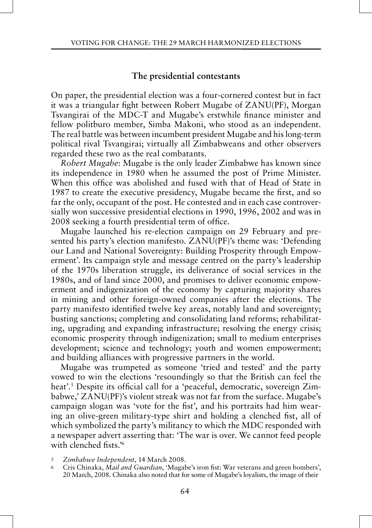# **The presidential contestants**

On paper, the presidential election was a four-cornered contest but in fact it was a triangular fight between Robert Mugabe of ZANU(PF), Morgan Tsvangirai of the MDC-T and Mugabe's erstwhile finance minister and fellow politburo member, Simba Makoni, who stood as an independent. The real battle was between incumbent president Mugabe and his long-term political rival Tsvangirai; virtually all Zimbabweans and other observers regarded these two as the real combatants.

*Robert Mugabe*: Mugabe is the only leader Zimbabwe has known since its independence in 1980 when he assumed the post of Prime Minister. When this office was abolished and fused with that of Head of State in 1987 to create the executive presidency, Mugabe became the first, and so far the only, occupant of the post. He contested and in each case controversially won successive presidential elections in 1990, 1996, 2002 and was in 2008 seeking a fourth presidential term of office.

Mugabe launched his re-election campaign on 29 February and presented his party's election manifesto. ZANU(PF)'s theme was: 'Defending our Land and National Sovereignty: Building Prosperity through Empowerment'. Its campaign style and message centred on the party's leadership of the 1970s liberation struggle, its deliverance of social services in the 1980s, and of land since 2000, and promises to deliver economic empowerment and indigenization of the economy by capturing majority shares in mining and other foreign-owned companies after the elections. The party manifesto identified twelve key areas, notably land and sovereignty; busting sanctions; completing and consolidating land reforms; rehabilitating, upgrading and expanding infrastructure; resolving the energy crisis; economic prosperity through indigenization; small to medium enterprises development; science and technology; youth and women empowerment; and building alliances with progressive partners in the world.

Mugabe was trumpeted as someone 'tried and tested' and the party vowed to win the elections 'resoundingly so that the British can feel the heat'.5 Despite its official call for a 'peaceful, democratic, sovereign Zimbabwe,' ZANU(PF)'s violent streak was not far from the surface. Mugabe's campaign slogan was 'vote for the fist', and his portraits had him wearing an olive-green military-type shirt and holding a clenched fist, all of which symbolized the party's militancy to which the MDC responded with a newspaper advert asserting that: 'The war is over. We cannot feed people with clenched fists.'6

<sup>5</sup> *Zimbabwe Independent*, 14 March 2008.

<sup>6</sup> Cris Chinaka, *Mail and Guardian*, 'Mugabe's iron fist: War veterans and green bombers', 20 March, 2008. Chinaka also noted that for some of Mugabe's loyalists, the image of their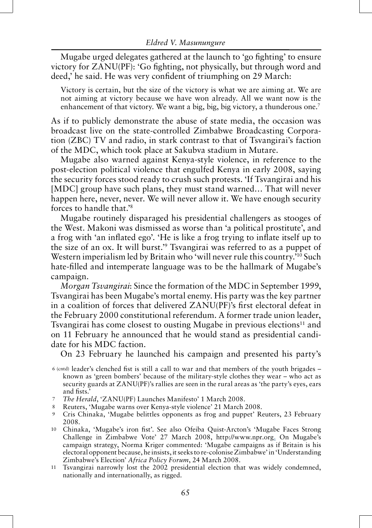Mugabe urged delegates gathered at the launch to 'go fighting' to ensure victory for ZANU(PF): 'Go fighting, not physically, but through word and deed,' he said. He was very confident of triumphing on 29 March:

Victory is certain, but the size of the victory is what we are aiming at. We are not aiming at victory because we have won already. All we want now is the enhancement of that victory. We want a big, big, big victory, a thunderous one.<sup>7</sup>

As if to publicly demonstrate the abuse of state media, the occasion was broadcast live on the state-controlled Zimbabwe Broadcasting Corporation (ZBC) TV and radio, in stark contrast to that of Tsvangirai's faction of the MDC, which took place at Sakubva stadium in Mutare.

Mugabe also warned against Kenya-style violence, in reference to the post-election political violence that engulfed Kenya in early 2008, saying the security forces stood ready to crush such protests. 'If Tsvangirai and his [MDC] group have such plans, they must stand warned... That will never happen here, never, never. We will never allow it. We have enough security forces to handle that.'8

Mugabe routinely disparaged his presidential challengers as stooges of the West. Makoni was dismissed as worse than 'a political prostitute', and a frog with 'an inflated ego'. 'He is like a frog trying to inflate itself up to the size of an ox. It will burst.'9 Tsvangirai was referred to as a puppet of Western imperialism led by Britain who 'will never rule this country.<sup>'10</sup> Such hate-filled and intemperate language was to be the hallmark of Mugabe's campaign.

*Morgan Tsvangirai*: Since the formation of the MDC in September 1999, Tsvangirai has been Mugabe's mortal enemy. His party was the key partner in a coalition of forces that delivered ZANU(PF)'s first electoral defeat in the February 2000 constitutional referendum. A former trade union leader, Tsvangirai has come closest to ousting Mugabe in previous elections<sup>11</sup> and on 11 February he announced that he would stand as presidential candidate for his MDC faction.

On 23 February he launched his campaign and presented his party's

- 7 *The Herald*, 'ZANU(PF) Launches Manifesto' 1 March 2008.
- 8 Reuters, 'Mugabe warns over Kenya-style violence' 21 March 2008.
- 9 Cris Chinaka, 'Mugabe belittles opponents as frog and puppet' Reuters, 23 February 2008.
- 10 Chinaka, 'Mugabe's iron fist'. See also Ofeiba Quist-Arcton's 'Mugabe Faces Strong Challenge in Zimbabwe Vote' 27 March 2008, http://www.npr.org. On Mugabe's campaign strategy, Norma Kriger commented: 'Mugabe campaigns as if Britain is his electoral opponent because, he insists, it seeks to re-colonise Zimbabwe' in 'Understanding Zimbabwe's Election' *Africa Policy Forum*, 24 March 2008.
- 11 Tsvangirai narrowly lost the 2002 presidential election that was widely condemned, nationally and internationally, as rigged.

 <sup>6 (</sup>cntd) leader's clenched fist is still a call to war and that members of the youth brigades – known as 'green bombers' because of the military-style clothes they wear – who act as security guards at ZANU(PF)'s rallies are seen in the rural areas as 'the party's eyes, ears and fists.'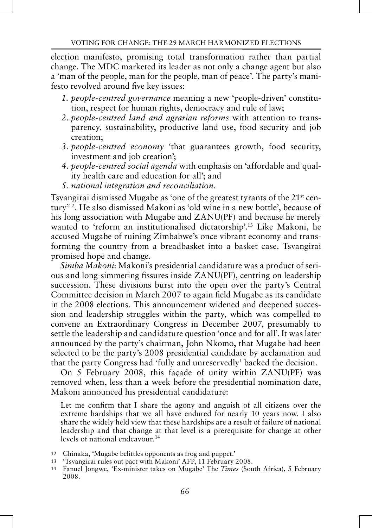election manifesto, promising total transformation rather than partial change. The MDC marketed its leader as not only a change agent but also a 'man of the people, man for the people, man of peace'. The party's manifesto revolved around five key issues:

- *1. people-centred governance* meaning a new 'people-driven' constitution, respect for human rights, democracy and rule of law;
- *2. people-centred land and agrarian reforms* with attention to transparency, sustainability, productive land use, food security and job creation;
- *3. people-centred economy* 'that guarantees growth, food security, investment and job creation';
- *4. people-centred social agenda* with emphasis on 'affordable and quality health care and education for all'; and
- *5. national integration and reconciliation*.

Tsvangirai dismissed Mugabe as 'one of the greatest tyrants of the 21<sup>st</sup> century'<sup>12</sup>. He also dismissed Makoni as 'old wine in a new bottle', because of his long association with Mugabe and ZANU(PF) and because he merely wanted to 'reform an institutionalised dictatorship'.13 Like Makoni, he accused Mugabe of ruining Zimbabwe's once vibrant economy and transforming the country from a breadbasket into a basket case. Tsvangirai promised hope and change.

*Simba Makoni*: Makoni's presidential candidature was a product of serious and long-simmering fissures inside ZANU(PF), centring on leadership succession. These divisions burst into the open over the party's Central Committee decision in March 2007 to again field Mugabe as its candidate in the 2008 elections. This announcement widened and deepened succession and leadership struggles within the party, which was compelled to convene an Extraordinary Congress in December 2007, presumably to settle the leadership and candidature question 'once and for all'. It was later announced by the party's chairman, John Nkomo, that Mugabe had been selected to be the party's 2008 presidential candidate by acclamation and that the party Congress had 'fully and unreservedly' backed the decision.

On 5 February 2008, this façade of unity within ZANU(PF) was removed when, less than a week before the presidential nomination date, Makoni announced his presidential candidature:

Let me confirm that I share the agony and anguish of all citizens over the extreme hardships that we all have endured for nearly 10 years now. I also share the widely held view that these hardships are a result of failure of national leadership and that change at that level is a prerequisite for change at other levels of national endeavour.<sup>14</sup>

- 12 Chinaka, 'Mugabe belittles opponents as frog and puppet.'
- 13 'Tsvangirai rules out pact with Makoni' AFP, 11 February 2008.
- 14 Fanuel Jongwe, 'Ex-minister takes on Mugabe' The *Times* (South Africa), 5 February 2008.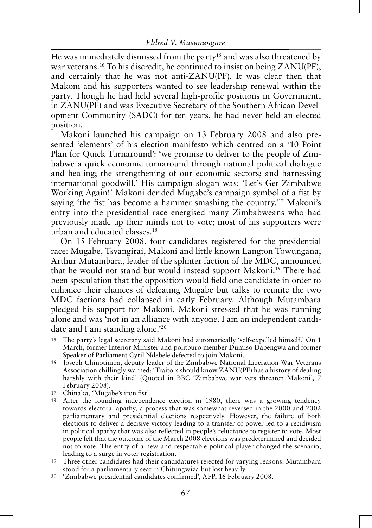He was immediately dismissed from the party<sup>15</sup> and was also threatened by war veterans.<sup>16</sup> To his discredit, he continued to insist on being ZANU(PF), and certainly that he was not anti-ZANU(PF). It was clear then that Makoni and his supporters wanted to see leadership renewal within the party. Though he had held several high-profile positions in Government, in ZANU(PF) and was Executive Secretary of the Southern African Development Community (SADC) for ten years, he had never held an elected position.

Makoni launched his campaign on 13 February 2008 and also presented 'elements' of his election manifesto which centred on a '10 Point Plan for Quick Turnaround': 'we promise to deliver to the people of Zimbabwe a quick economic turnaround through national political dialogue and healing; the strengthening of our economic sectors; and harnessing international goodwill.' His campaign slogan was: 'Let's Get Zimbabwe Working Again!' Makoni derided Mugabe's campaign symbol of a fist by saying 'the fist has become a hammer smashing the country.<sup>'17</sup> Makoni's entry into the presidential race energised many Zimbabweans who had previously made up their minds not to vote; most of his supporters were urban and educated classes.18

On 15 February 2008, four candidates registered for the presidential race: Mugabe, Tsvangirai, Makoni and little known Langton Towungana; Arthur Mutambara, leader of the splinter faction of the MDC, announced that he would not stand but would instead support Makoni.<sup>19</sup> There had been speculation that the opposition would field one candidate in order to enhance their chances of defeating Mugabe but talks to reunite the two MDC factions had collapsed in early February. Although Mutambara pledged his support for Makoni, Makoni stressed that he was running alone and was 'not in an alliance with anyone. I am an independent candidate and I am standing alone.'20

- 15 The party's legal secretary said Makoni had automatically 'self-expelled himself.' On 1 March, former Interior Minister and politburo member Dumiso Dabengwa and former Speaker of Parliament Cyril Ndebele defected to join Makoni.
- 16 Joseph Chinotimba, deputy leader of the Zimbabwe National Liberation War Veterans Association chillingly warned: 'Traitors should know ZANU(PF) has a history of dealing harshly with their kind' (Quoted in BBC 'Zimbabwe war vets threaten Makoni', 7 February 2008).
- 17 Chinaka, 'Mugabe's iron fist'.
- 18 After the founding independence election in 1980, there was a growing tendency towards electoral apathy, a process that was somewhat reversed in the 2000 and 2002 parliamentary and presidential elections respectively. However, the failure of both elections to deliver a decisive victory leading to a transfer of power led to a recidivism in political apathy that was also reflected in people's reluctance to register to vote. Most people felt that the outcome of the March 2008 elections was predetermined and decided not to vote. The entry of a new and respectable political player changed the scenario, leading to a surge in voter registration.
- 19 Three other candidates had their candidatures rejected for varying reasons. Mutambara stood for a parliamentary seat in Chitungwiza but lost heavily.
- 20 'Zimbabwe presidential candidates confirmed', AFP, 16 February 2008.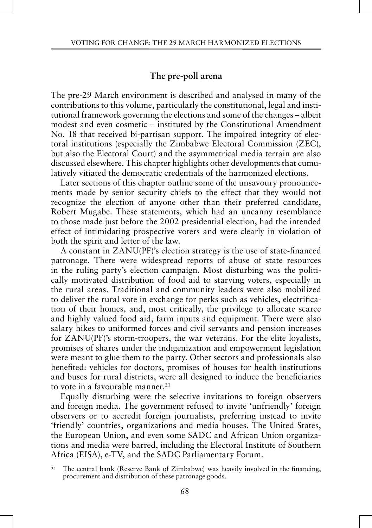# **The pre-poll arena**

The pre-29 March environment is described and analysed in many of the contributions to this volume, particularly the constitutional, legal and institutional framework governing the elections and some of the changes – albeit modest and even cosmetic – instituted by the Constitutional Amendment No. 18 that received bi-partisan support. The impaired integrity of electoral institutions (especially the Zimbabwe Electoral Commission (ZEC), but also the Electoral Court) and the asymmetrical media terrain are also discussed elsewhere. This chapter highlights other developments that cumulatively vitiated the democratic credentials of the harmonized elections.

Later sections of this chapter outline some of the unsavoury pronouncements made by senior security chiefs to the effect that they would not recognize the election of anyone other than their preferred candidate, Robert Mugabe. These statements, which had an uncanny resemblance to those made just before the 2002 presidential election, had the intended effect of intimidating prospective voters and were clearly in violation of both the spirit and letter of the law.

A constant in ZANU(PF)'s election strategy is the use of state-financed patronage. There were widespread reports of abuse of state resources in the ruling party's election campaign. Most disturbing was the politically motivated distribution of food aid to starving voters, especially in the rural areas. Traditional and community leaders were also mobilized to deliver the rural vote in exchange for perks such as vehicles, electrification of their homes, and, most critically, the privilege to allocate scarce and highly valued food aid, farm inputs and equipment. There were also salary hikes to uniformed forces and civil servants and pension increases for ZANU(PF)'s storm-troopers, the war veterans. For the elite loyalists, promises of shares under the indigenization and empowerment legislation were meant to glue them to the party. Other sectors and professionals also benefited: vehicles for doctors, promises of houses for health institutions and buses for rural districts, were all designed to induce the beneficiaries to vote in a favourable manner.<sup>21</sup>

Equally disturbing were the selective invitations to foreign observers and foreign media. The government refused to invite 'unfriendly' foreign observers or to accredit foreign journalists, preferring instead to invite 'friendly' countries, organizations and media houses. The United States, the European Union, and even some SADC and African Union organizations and media were barred, including the Electoral Institute of Southern Africa (EISA), e-TV, and the SADC Parliamentary Forum.

<sup>21</sup> The central bank (Reserve Bank of Zimbabwe) was heavily involved in the financing, procurement and distribution of these patronage goods.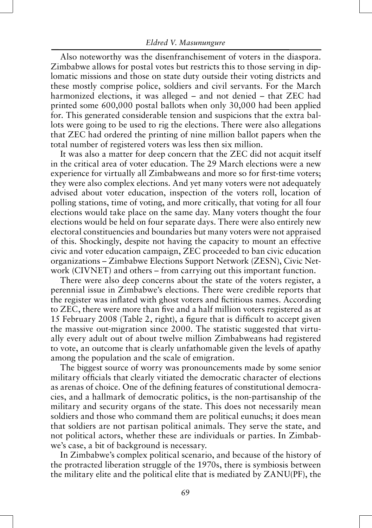Also noteworthy was the disenfranchisement of voters in the diaspora. Zimbabwe allows for postal votes but restricts this to those serving in diplomatic missions and those on state duty outside their voting districts and these mostly comprise police, soldiers and civil servants. For the March harmonized elections, it was alleged – and not denied – that ZEC had printed some 600,000 postal ballots when only 30,000 had been applied for. This generated considerable tension and suspicions that the extra ballots were going to be used to rig the elections. There were also allegations that ZEC had ordered the printing of nine million ballot papers when the total number of registered voters was less then six million.

It was also a matter for deep concern that the ZEC did not acquit itself in the critical area of voter education. The 29 March elections were a new experience for virtually all Zimbabweans and more so for first-time voters; they were also complex elections. And yet many voters were not adequately advised about voter education, inspection of the voters roll, location of polling stations, time of voting, and more critically, that voting for all four elections would take place on the same day. Many voters thought the four elections would be held on four separate days. There were also entirely new electoral constituencies and boundaries but many voters were not appraised of this. Shockingly, despite not having the capacity to mount an effective civic and voter education campaign, ZEC proceeded to ban civic education organizations – Zimbabwe Elections Support Network (ZESN), Civic Network (CIVNET) and others – from carrying out this important function.

There were also deep concerns about the state of the voters register, a perennial issue in Zimbabwe's elections. There were credible reports that the register was inflated with ghost voters and fictitious names. According to ZEC, there were more than five and a half million voters registered as at 15 February 2008 (Table 2, right), a figure that is difficult to accept given the massive out-migration since 2000. The statistic suggested that virtually every adult out of about twelve million Zimbabweans had registered to vote, an outcome that is clearly unfathomable given the levels of apathy among the population and the scale of emigration.

The biggest source of worry was pronouncements made by some senior military officials that clearly vitiated the democratic character of elections as arenas of choice. One of the defining features of constitutional democracies, and a hallmark of democratic politics, is the non-partisanship of the military and security organs of the state. This does not necessarily mean soldiers and those who command them are political eunuchs; it does mean that soldiers are not partisan political animals. They serve the state, and not political actors, whether these are individuals or parties. In Zimbabwe's case, a bit of background is necessary.

In Zimbabwe's complex political scenario, and because of the history of the protracted liberation struggle of the 1970s, there is symbiosis between the military elite and the political elite that is mediated by ZANU(PF), the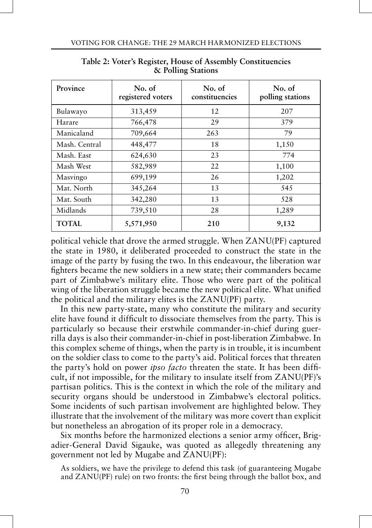| Province      | No. of<br>registered voters | No. of<br>constituencies | No. of<br>polling stations |
|---------------|-----------------------------|--------------------------|----------------------------|
| Bulawayo      | 313,459                     | 12                       | 207                        |
| Harare        | 766,478                     | 29                       | 379                        |
| Manicaland    | 709,664                     | 263                      | 79                         |
| Mash. Central | 448,477                     | 18                       | 1,150                      |
| Mash. East    | 624,630                     | 23                       | 774                        |
| Mash West     | 582,989                     | 22                       | 1,100                      |
| Masvingo      | 699,199                     | 26                       | 1,202                      |
| Mat. North    | 345,264                     | 13                       | 545                        |
| Mat. South    | 342,280                     | 13                       | 528                        |
| Midlands      | 739,510                     | 28                       | 1,289                      |
| TOTAL         | 5,571,950                   | 210                      | 9,132                      |

**Table 2: Voter's Register, House of Assembly Constituencies & Polling Stations**

political vehicle that drove the armed struggle. When ZANU(PF) captured the state in 1980, it deliberated proceeded to construct the state in the image of the party by fusing the two. In this endeavour, the liberation war fighters became the new soldiers in a new state; their commanders became part of Zimbabwe's military elite. Those who were part of the political wing of the liberation struggle became the new political elite. What unified the political and the military elites is the ZANU(PF) party.

In this new party-state, many who constitute the military and security elite have found it difficult to dissociate themselves from the party. This is particularly so because their erstwhile commander-in-chief during guerrilla days is also their commander-in-chief in post-liberation Zimbabwe. In this complex scheme of things, when the party is in trouble, it is incumbent on the soldier class to come to the party's aid. Political forces that threaten the party's hold on power *ipso facto* threaten the state. It has been difficult, if not impossible, for the military to insulate itself from ZANU(PF)'s partisan politics. This is the context in which the role of the military and security organs should be understood in Zimbabwe's electoral politics. Some incidents of such partisan involvement are highlighted below. They illustrate that the involvement of the military was more covert than explicit but nonetheless an abrogation of its proper role in a democracy.

Six months before the harmonized elections a senior army officer, Brigadier-General David Sigauke, was quoted as allegedly threatening any government not led by Mugabe and ZANU(PF):

As soldiers, we have the privilege to defend this task (of guaranteeing Mugabe and ZANU(PF) rule) on two fronts: the first being through the ballot box, and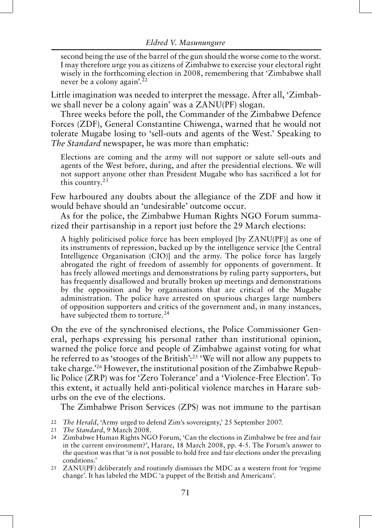second being the use of the barrel of the gun should the worse come to the worst. I may therefore urge you as citizens of Zimbabwe to exercise your electoral right wisely in the forthcoming election in 2008, remembering that 'Zimbabwe shall never be a colony again'.  $^{22}$ 

Little imagination was needed to interpret the message. After all, 'Zimbabwe shall never be a colony again' was a ZANU(PF) slogan.

Three weeks before the poll, the Commander of the Zimbabwe Defence Forces (ZDF), General Constantine Chiwenga, warned that he would not tolerate Mugabe losing to 'sell-outs and agents of the West.' Speaking to *The Standard* newspaper, he was more than emphatic:

Elections are coming and the army will not support or salute sell-outs and agents of the West before, during, and after the presidential elections. We will not support anyone other than President Mugabe who has sacrificed a lot for this country.23

Few harboured any doubts about the allegiance of the ZDF and how it would behave should an 'undesirable' outcome occur.

As for the police, the Zimbabwe Human Rights NGO Forum summarized their partisanship in a report just before the 29 March elections:

A highly politicised police force has been employed [by ZANU(PF)] as one of its instruments of repression, backed up by the intelligence service [the Central Intelligence Organisation (CIO)] and the army. The police force has largely abrogated the right of freedom of assembly for opponents of government. It has freely allowed meetings and demonstrations by ruling party supporters, but has frequently disallowed and brutally broken up meetings and demonstrations by the opposition and by organisations that are critical of the Mugabe administration. The police have arrested on spurious charges large numbers of opposition supporters and critics of the government and, in many instances, have subjected them to torture.<sup>24</sup>

On the eve of the synchronised elections, the Police Commissioner General, perhaps expressing his personal rather than institutional opinion, warned the police force and people of Zimbabwe against voting for what he referred to as 'stooges of the British':25 'We will not allow any puppets to take charge.'26 However, the institutional position of the Zimbabwe Republic Police (ZRP) was for 'Zero Tolerance' and a 'Violence-Free Election'. To this extent, it actually held anti-political violence marches in Harare suburbs on the eve of the elections.

The Zimbabwe Prison Services (ZPS) was not immune to the partisan

- 22 *The Herald*, 'Army urged to defend Zim's sovereignty,' 25 September 2007.
- 23 *The Standard*, 9 March 2008.
- 24 Zimbabwe Human Rights NGO Forum, 'Can the elections in Zimbabwe be free and fair in the current environment?', Harare, 18 March 2008, pp. 4-5. The Forum's answer to the question was that 'it is not possible to hold free and fair elections under the prevailing conditions.'
- 25 ZANU(PF) deliberately and routinely dismisses the MDC as a western front for 'regime change'. It has labeled the MDC 'a puppet of the British and Americans'.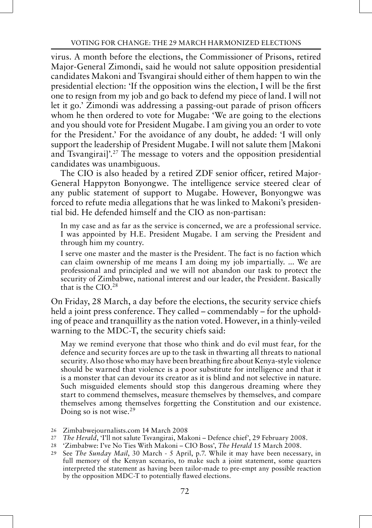virus. A month before the elections, the Commissioner of Prisons, retired Major-General Zimondi, said he would not salute opposition presidential candidates Makoni and Tsvangirai should either of them happen to win the presidential election: 'If the opposition wins the election, I will be the first one to resign from my job and go back to defend my piece of land. I will not let it go.' Zimondi was addressing a passing-out parade of prison officers whom he then ordered to vote for Mugabe: 'We are going to the elections and you should vote for President Mugabe. I am giving you an order to vote for the President.' For the avoidance of any doubt, he added: 'I will only support the leadership of President Mugabe. I will not salute them [Makoni and Tsvangirai]'.27 The message to voters and the opposition presidential candidates was unambiguous.

The CIO is also headed by a retired ZDF senior officer, retired Major-General Happyton Bonyongwe. The intelligence service steered clear of any public statement of support to Mugabe. However, Bonyongwe was forced to refute media allegations that he was linked to Makoni's presidential bid. He defended himself and the CIO as non-partisan:

In my case and as far as the service is concerned, we are a professional service. I was appointed by H.E. President Mugabe. I am serving the President and through him my country.

I serve one master and the master is the President. The fact is no faction which can claim ownership of me means I am doing my job impartially. ... We are professional and principled and we will not abandon our task to protect the security of Zimbabwe, national interest and our leader, the President. Basically that is the CIO.28

On Friday, 28 March, a day before the elections, the security service chiefs held a joint press conference. They called – commendably – for the upholding of peace and tranquillity as the nation voted. However, in a thinly-veiled warning to the MDC-T, the security chiefs said:

May we remind everyone that those who think and do evil must fear, for the defence and security forces are up to the task in thwarting all threats to national security. Also those who may have been breathing fire about Kenya-style violence should be warned that violence is a poor substitute for intelligence and that it is a monster that can devour its creator as it is blind and not selective in nature. Such misguided elements should stop this dangerous dreaming where they start to commend themselves, measure themselves by themselves, and compare themselves among themselves forgetting the Constitution and our existence. Doing so is not wise.<sup>29</sup>

- 27 *The Herald*, 'I'll not salute Tsvangirai, Makoni Defence chief', 29 February 2008.
- 28 'Zimbabwe: I've No Ties With Makoni CIO Boss', *The Herald* 15 March 2008.
- 29 See *The Sunday Mail*, 30 March 5 April, p.7. While it may have been necessary, in full memory of the Kenyan scenario, to make such a joint statement, some quarters interpreted the statement as having been tailor-made to pre-empt any possible reaction by the opposition MDC-T to potentially flawed elections.

<sup>26</sup> Zimbabwejournalists.com 14 March 2008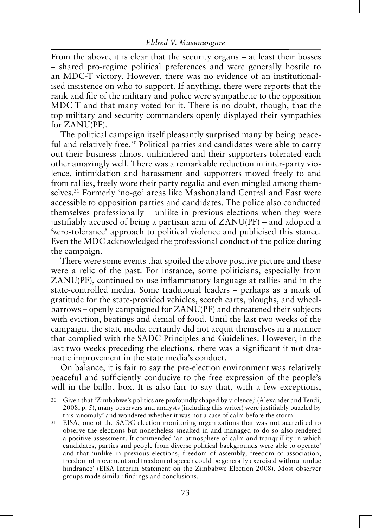From the above, it is clear that the security organs – at least their bosses – shared pro-regime political preferences and were generally hostile to an MDC-T victory. However, there was no evidence of an institutionalised insistence on who to support. If anything, there were reports that the rank and file of the military and police were sympathetic to the opposition MDC-T and that many voted for it. There is no doubt, though, that the top military and security commanders openly displayed their sympathies for ZANU(PF).

The political campaign itself pleasantly surprised many by being peaceful and relatively free.<sup>30</sup> Political parties and candidates were able to carry out their business almost unhindered and their supporters tolerated each other amazingly well. There was a remarkable reduction in inter-party violence, intimidation and harassment and supporters moved freely to and from rallies, freely wore their party regalia and even mingled among themselves.31 Formerly 'no-go' areas like Mashonaland Central and East were accessible to opposition parties and candidates. The police also conducted themselves professionally – unlike in previous elections when they were justifiably accused of being a partisan arm of ZANU(PF) – and adopted a 'zero-tolerance' approach to political violence and publicised this stance. Even the MDC acknowledged the professional conduct of the police during the campaign.

There were some events that spoiled the above positive picture and these were a relic of the past. For instance, some politicians, especially from ZANU(PF), continued to use inflammatory language at rallies and in the state-controlled media. Some traditional leaders – perhaps as a mark of gratitude for the state-provided vehicles, scotch carts, ploughs, and wheelbarrows – openly campaigned for ZANU(PF) and threatened their subjects with eviction, beatings and denial of food. Until the last two weeks of the campaign, the state media certainly did not acquit themselves in a manner that complied with the SADC Principles and Guidelines. However, in the last two weeks preceding the elections, there was a significant if not dramatic improvement in the state media's conduct.

On balance, it is fair to say the pre-election environment was relatively peaceful and sufficiently conducive to the free expression of the people's will in the ballot box. It is also fair to say that, with a few exceptions,

31 EISA, one of the SADC election monitoring organizations that was not accredited to observe the elections but nonetheless sneaked in and managed to do so also rendered a positive assessment. It commended 'an atmosphere of calm and tranquillity in which candidates, parties and people from diverse political backgrounds were able to operate' and that 'unlike in previous elections, freedom of assembly, freedom of association, freedom of movement and freedom of speech could be generally exercised without undue hindrance' (EISA Interim Statement on the Zimbabwe Election 2008). Most observer groups made similar findings and conclusions.

<sup>30</sup> Given that 'Zimbabwe's politics are profoundly shaped by violence,' (Alexander and Tendi, 2008, p. 5), many observers and analysts (including this writer) were justifiably puzzled by this 'anomaly' and wondered whether it was not a case of calm before the storm.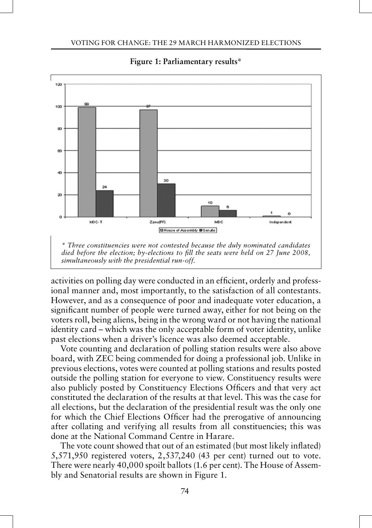

## **Figure 1: Parliamentary results\***

activities on polling day were conducted in an efficient, orderly and professional manner and, most importantly, to the satisfaction of all contestants. However, and as a consequence of poor and inadequate voter education, a significant number of people were turned away, either for not being on the voters roll, being aliens, being in the wrong ward or not having the national identity card – which was the only acceptable form of voter identity, unlike past elections when a driver's licence was also deemed acceptable.

Vote counting and declaration of polling station results were also above board, with ZEC being commended for doing a professional job. Unlike in previous elections, votes were counted at polling stations and results posted outside the polling station for everyone to view. Constituency results were also publicly posted by Constituency Elections Officers and that very act constituted the declaration of the results at that level. This was the case for all elections, but the declaration of the presidential result was the only one for which the Chief Elections Officer had the prerogative of announcing after collating and verifying all results from all constituencies; this was done at the National Command Centre in Harare.

The vote count showed that out of an estimated (but most likely inflated) 5,571,950 registered voters, 2,537,240 (43 per cent) turned out to vote. There were nearly 40,000 spoilt ballots (1.6 per cent). The House of Assembly and Senatorial results are shown in Figure 1.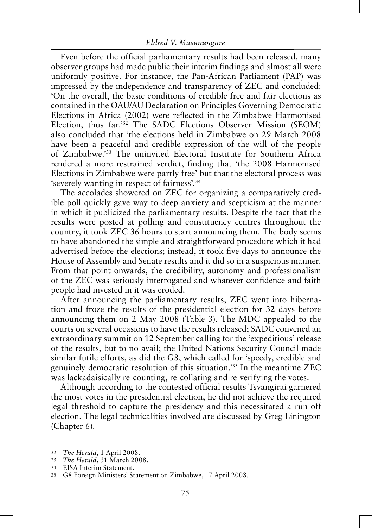Even before the official parliamentary results had been released, many observer groups had made public their interim findings and almost all were uniformly positive. For instance, the Pan-African Parliament (PAP) was impressed by the independence and transparency of ZEC and concluded: 'On the overall, the basic conditions of credible free and fair elections as contained in the OAU/AU Declaration on Principles Governing Democratic Elections in Africa (2002) were reflected in the Zimbabwe Harmonised Election, thus far.'32 The SADC Elections Observer Mission (SEOM) also concluded that 'the elections held in Zimbabwe on 29 March 2008 have been a peaceful and credible expression of the will of the people of Zimbabwe.'33 The uninvited Electoral Institute for Southern Africa rendered a more restrained verdict, finding that 'the 2008 Harmonised Elections in Zimbabwe were partly free' but that the electoral process was 'severely wanting in respect of fairness'.34

The accolades showered on ZEC for organizing a comparatively credible poll quickly gave way to deep anxiety and scepticism at the manner in which it publicized the parliamentary results. Despite the fact that the results were posted at polling and constituency centres throughout the country, it took ZEC 36 hours to start announcing them. The body seems to have abandoned the simple and straightforward procedure which it had advertised before the elections; instead, it took five days to announce the House of Assembly and Senate results and it did so in a suspicious manner. From that point onwards, the credibility, autonomy and professionalism of the ZEC was seriously interrogated and whatever confidence and faith people had invested in it was eroded.

After announcing the parliamentary results, ZEC went into hibernation and froze the results of the presidential election for 32 days before announcing them on 2 May 2008 (Table 3). The MDC appealed to the courts on several occasions to have the results released; SADC convened an extraordinary summit on 12 September calling for the 'expeditious' release of the results, but to no avail; the United Nations Security Council made similar futile efforts, as did the G8, which called for 'speedy, credible and genuinely democratic resolution of this situation.'35 In the meantime ZEC was lackadaisically re-counting, re-collating and re-verifying the votes.

Although according to the contested official results Tsvangirai garnered the most votes in the presidential election, he did not achieve the required legal threshold to capture the presidency and this necessitated a run-off election. The legal technicalities involved are discussed by Greg Linington (Chapter 6).

- 33 *The Herald*, 31 March 2008.
- 34 EISA Interim Statement.

<sup>32</sup> *The Herald*, 1 April 2008.

<sup>35</sup> G8 Foreign Ministers' Statement on Zimbabwe, 17 April 2008.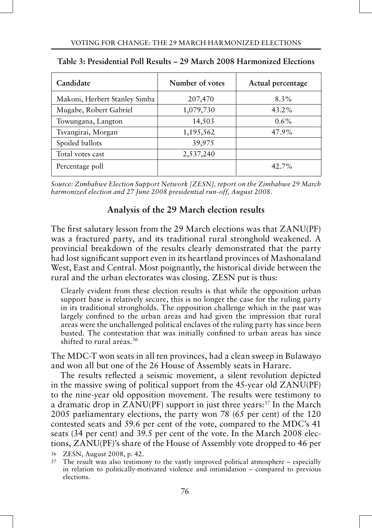| Candidate                     | Number of votes | Actual percentage |
|-------------------------------|-----------------|-------------------|
| Makoni, Herbert Stanley Simba | 207,470         | $8.3\%$           |
| Mugabe, Robert Gabriel        | 1,079,730       | $43.2\%$          |
| Towungana, Langton            | 14,503          | $0.6\%$           |
| Tsvangirai, Morgan            | 1,195,562       | 47.9%             |
| Spoiled ballots               | 39,975          |                   |
| Total votes cast              | 2,537,240       |                   |
| Percentage poll               |                 | 42.7%             |

|  | Table 3: Presidential Poll Results – 29 March 2008 Harmonized Elections |
|--|-------------------------------------------------------------------------|
|--|-------------------------------------------------------------------------|

*Source: Zimbabwe Election Support Network [ZESN], report on the Zimbabwe 29 March harmonized election and 27 June 2008 presidential run-off, August 2008.*

# **Analysis of the 29 March election results**

The first salutary lesson from the 29 March elections was that ZANU(PF) was a fractured party, and its traditional rural stronghold weakened. A provincial breakdown of the results clearly demonstrated that the party had lost significant support even in its heartland provinces of Mashonaland West, East and Central. Most poignantly, the historical divide between the rural and the urban electorates was closing. ZESN put is thus:

Clearly evident from these election results is that while the opposition urban support base is relatively secure, this is no longer the case for the ruling party in its traditional strongholds. The opposition challenge which in the past was largely confined to the urban areas and had given the impression that rural areas were the unchallenged political enclaves of the ruling party has since been busted. The contestation that was initially confined to urban areas has since shifted to rural areas.<sup>36</sup>

The MDC-T won seats in all ten provinces, had a clean sweep in Bulawayo and won all but one of the 26 House of Assembly seats in Harare.

The results reflected a seismic movement, a silent revolution depicted in the massive swing of political support from the 45-year old ZANU(PF) to the nine-year old opposition movement. The results were testimony to a dramatic drop in ZANU(PF) support in just three years:<sup>37</sup> In the March 2005 parliamentary elections, the party won 78 (65 per cent) of the 120 contested seats and 59.6 per cent of the vote, compared to the MDC's 41 seats (34 per cent) and 39.5 per cent of the vote. In the March 2008 elections, ZANU(PF)'s share of the House of Assembly vote dropped to 46 per

36 ZESN, August 2008, p. 42.

<sup>37</sup> The result was also testimony to the vastly improved political atmosphere – especially in relation to politically-motivated violence and intimidation – compared to previous elections.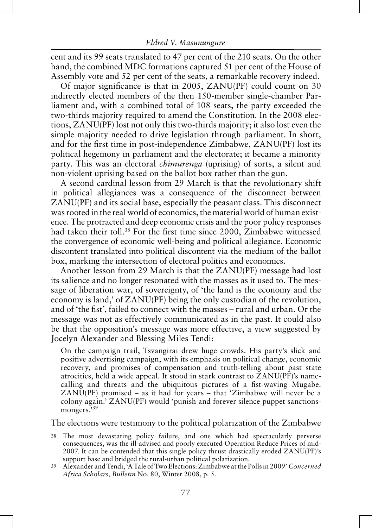cent and its 99 seats translated to 47 per cent of the 210 seats. On the other hand, the combined MDC formations captured 51 per cent of the House of Assembly vote and 52 per cent of the seats, a remarkable recovery indeed.

Of major significance is that in 2005, ZANU(PF) could count on 30 indirectly elected members of the then 150-member single-chamber Parliament and, with a combined total of 108 seats, the party exceeded the two-thirds majority required to amend the Constitution. In the 2008 elections, ZANU(PF) lost not only this two-thirds majority; it also lost even the simple majority needed to drive legislation through parliament. In short, and for the first time in post-independence Zimbabwe, ZANU(PF) lost its political hegemony in parliament and the electorate; it became a minority party. This was an electoral *chimurenga* (uprising) of sorts, a silent and non-violent uprising based on the ballot box rather than the gun.

A second cardinal lesson from 29 March is that the revolutionary shift in political allegiances was a consequence of the disconnect between ZANU(PF) and its social base, especially the peasant class. This disconnect was rooted in the real world of economics, the material world of human existence. The protracted and deep economic crisis and the poor policy responses had taken their toll.<sup>38</sup> For the first time since 2000, Zimbabwe witnessed the convergence of economic well-being and political allegiance. Economic discontent translated into political discontent via the medium of the ballot box, marking the intersection of electoral politics and economics.

Another lesson from 29 March is that the ZANU(PF) message had lost its salience and no longer resonated with the masses as it used to. The message of liberation war, of sovereignty, of 'the land is the economy and the economy is land,' of ZANU(PF) being the only custodian of the revolution, and of 'the fist', failed to connect with the masses – rural and urban. Or the message was not as effectively communicated as in the past. It could also be that the opposition's message was more effective, a view suggested by Jocelyn Alexander and Blessing Miles Tendi:

On the campaign trail, Tsvangirai drew huge crowds. His party's slick and positive advertising campaign, with its emphasis on political change, economic recovery, and promises of compensation and truth-telling about past state atrocities, held a wide appeal. It stood in stark contrast to ZANU(PF)'s namecalling and threats and the ubiquitous pictures of a fist-waving Mugabe. ZANU(PF) promised – as it had for years – that 'Zimbabwe will never be a colony again.' ZANU(PF) would 'punish and forever silence puppet sanctionsmongers.<sup>39</sup>

The elections were testimony to the political polarization of the Zimbabwe

- 38 The most devastating policy failure, and one which had spectacularly perverse consequences, was the ill-advised and poorly executed Operation Reduce Prices of mid-2007. It can be contended that this single policy thrust drastically eroded ZANU(PF)'s support base and bridged the rural-urban political polarization.
- 39 Alexander and Tendi, 'A Tale of Two Elections: Zimbabwe at the Polls in 2009' *Concerned Africa Scholars, Bulletin* No. 80, Winter 2008, p. 5.